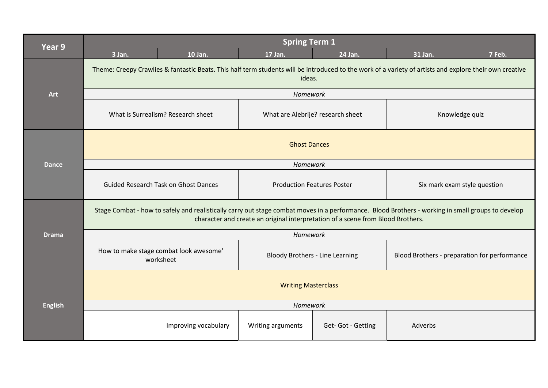| Year 9         | 3 Jan.                                                                                                                                                                                                                               | 10 Jan.              | <b>Spring Term 1</b><br>17 Jan.   | 24 Jan.           | 31 Jan.                                      | 7 Feb. |
|----------------|--------------------------------------------------------------------------------------------------------------------------------------------------------------------------------------------------------------------------------------|----------------------|-----------------------------------|-------------------|----------------------------------------------|--------|
|                | Theme: Creepy Crawlies & fantastic Beats. This half term students will be introduced to the work of a variety of artists and explore their own creative<br>ideas.                                                                    |                      |                                   |                   |                                              |        |
| Art            | Homework                                                                                                                                                                                                                             |                      |                                   |                   |                                              |        |
|                | What is Surrealism? Research sheet                                                                                                                                                                                                   |                      | What are Alebrije? research sheet |                   | Knowledge quiz                               |        |
|                | <b>Ghost Dances</b>                                                                                                                                                                                                                  |                      |                                   |                   |                                              |        |
| <b>Dance</b>   | Homework                                                                                                                                                                                                                             |                      |                                   |                   |                                              |        |
|                | <b>Guided Research Task on Ghost Dances</b>                                                                                                                                                                                          |                      | <b>Production Features Poster</b> |                   | Six mark exam style question                 |        |
|                | Stage Combat - how to safely and realistically carry out stage combat moves in a performance. Blood Brothers - working in small groups to develop<br>character and create an original interpretation of a scene from Blood Brothers. |                      |                                   |                   |                                              |        |
| <b>Drama</b>   | Homework                                                                                                                                                                                                                             |                      |                                   |                   |                                              |        |
|                | How to make stage combat look awesome'<br><b>Bloody Brothers - Line Learning</b><br>worksheet                                                                                                                                        |                      |                                   |                   | Blood Brothers - preparation for performance |        |
|                | <b>Writing Masterclass</b>                                                                                                                                                                                                           |                      |                                   |                   |                                              |        |
| <b>English</b> | Homework                                                                                                                                                                                                                             |                      |                                   |                   |                                              |        |
|                |                                                                                                                                                                                                                                      | Improving vocabulary | Writing arguments                 | Get-Got - Getting | Adverbs                                      |        |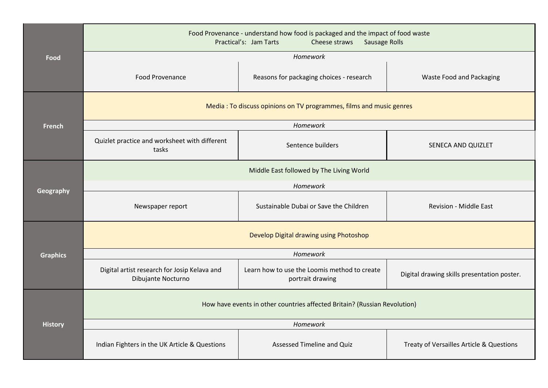|                 | Food Provenance - understand how food is packaged and the impact of food waste<br>Practical's: Jam Tarts<br>Cheese straws<br><b>Sausage Rolls</b> |                                                                  |                                             |  |  |  |
|-----------------|---------------------------------------------------------------------------------------------------------------------------------------------------|------------------------------------------------------------------|---------------------------------------------|--|--|--|
| Food            | Homework                                                                                                                                          |                                                                  |                                             |  |  |  |
|                 | <b>Food Provenance</b>                                                                                                                            | Reasons for packaging choices - research                         | Waste Food and Packaging                    |  |  |  |
|                 | Media: To discuss opinions on TV programmes, films and music genres                                                                               |                                                                  |                                             |  |  |  |
| <b>French</b>   | Homework                                                                                                                                          |                                                                  |                                             |  |  |  |
|                 | Quizlet practice and worksheet with different<br>tasks                                                                                            | Sentence builders                                                | SENECA AND QUIZLET                          |  |  |  |
|                 | Middle East followed by The Living World                                                                                                          |                                                                  |                                             |  |  |  |
|                 | Homework                                                                                                                                          |                                                                  |                                             |  |  |  |
| Geography       | Newspaper report                                                                                                                                  | Sustainable Dubai or Save the Children                           | <b>Revision - Middle East</b>               |  |  |  |
|                 | Develop Digital drawing using Photoshop                                                                                                           |                                                                  |                                             |  |  |  |
| <b>Graphics</b> | Homework                                                                                                                                          |                                                                  |                                             |  |  |  |
|                 | Digital artist research for Josip Kelava and<br>Dibujante Nocturno                                                                                | Learn how to use the Loomis method to create<br>portrait drawing | Digital drawing skills presentation poster. |  |  |  |
|                 | How have events in other countries affected Britain? (Russian Revolution)                                                                         |                                                                  |                                             |  |  |  |
| <b>History</b>  | Homework                                                                                                                                          |                                                                  |                                             |  |  |  |
|                 | Indian Fighters in the UK Article & Questions                                                                                                     | Assessed Timeline and Quiz                                       | Treaty of Versailles Article & Questions    |  |  |  |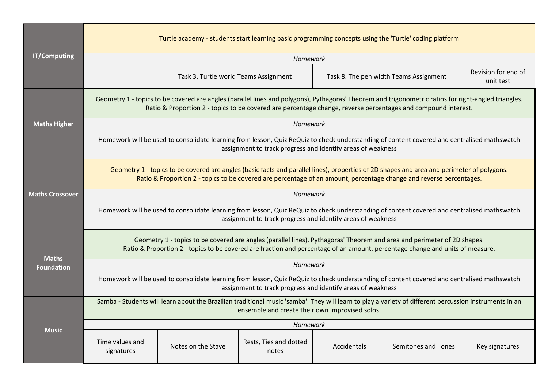|                                   | Turtle academy - students start learning basic programming concepts using the 'Turtle' coding platform                                                                                                                                                                |                                       |                                 |                                        |                     |                                  |  |
|-----------------------------------|-----------------------------------------------------------------------------------------------------------------------------------------------------------------------------------------------------------------------------------------------------------------------|---------------------------------------|---------------------------------|----------------------------------------|---------------------|----------------------------------|--|
| <b>IT/Computing</b>               | Homework                                                                                                                                                                                                                                                              |                                       |                                 |                                        |                     |                                  |  |
|                                   |                                                                                                                                                                                                                                                                       | Task 3. Turtle world Teams Assignment |                                 | Task 8. The pen width Teams Assignment |                     | Revision for end of<br>unit test |  |
| <b>Maths Higher</b>               | Geometry 1 - topics to be covered are angles (parallel lines and polygons), Pythagoras' Theorem and trigonometric ratios for right-angled triangles.<br>Ratio & Proportion 2 - topics to be covered are percentage change, reverse percentages and compound interest. |                                       |                                 |                                        |                     |                                  |  |
|                                   | <b>Homework</b>                                                                                                                                                                                                                                                       |                                       |                                 |                                        |                     |                                  |  |
|                                   | Homework will be used to consolidate learning from lesson, Quiz ReQuiz to check understanding of content covered and centralised mathswatch<br>assignment to track progress and identify areas of weakness                                                            |                                       |                                 |                                        |                     |                                  |  |
|                                   | Geometry 1 - topics to be covered are angles (basic facts and parallel lines), properties of 2D shapes and area and perimeter of polygons.<br>Ratio & Proportion 2 - topics to be covered are percentage of an amount, percentage change and reverse percentages.     |                                       |                                 |                                        |                     |                                  |  |
| <b>Maths Crossover</b>            | Homework                                                                                                                                                                                                                                                              |                                       |                                 |                                        |                     |                                  |  |
|                                   | Homework will be used to consolidate learning from lesson, Quiz ReQuiz to check understanding of content covered and centralised mathswatch<br>assignment to track progress and identify areas of weakness                                                            |                                       |                                 |                                        |                     |                                  |  |
|                                   | Geometry 1 - topics to be covered are angles (parallel lines), Pythagoras' Theorem and area and perimeter of 2D shapes.<br>Ratio & Proportion 2 - topics to be covered are fraction and percentage of an amount, percentage change and units of measure.              |                                       |                                 |                                        |                     |                                  |  |
| <b>Maths</b><br><b>Foundation</b> | Homework                                                                                                                                                                                                                                                              |                                       |                                 |                                        |                     |                                  |  |
|                                   | Homework will be used to consolidate learning from lesson, Quiz ReQuiz to check understanding of content covered and centralised mathswatch<br>assignment to track progress and identify areas of weakness                                                            |                                       |                                 |                                        |                     |                                  |  |
|                                   | Samba - Students will learn about the Brazilian traditional music 'samba'. They will learn to play a variety of different percussion instruments in an<br>ensemble and create their own improvised solos.                                                             |                                       |                                 |                                        |                     |                                  |  |
|                                   | Homework                                                                                                                                                                                                                                                              |                                       |                                 |                                        |                     |                                  |  |
| <b>Music</b>                      | Time values and<br>signatures                                                                                                                                                                                                                                         | Notes on the Stave                    | Rests, Ties and dotted<br>notes | <b>Accidentals</b>                     | Semitones and Tones | Key signatures                   |  |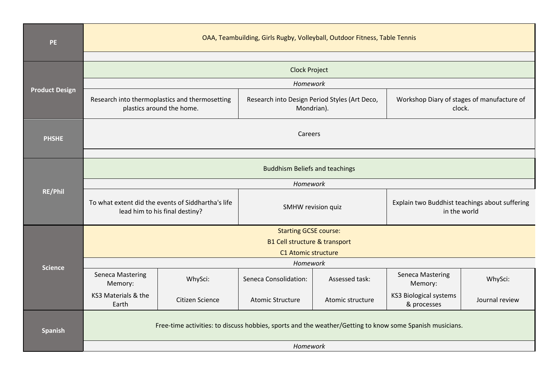| PE                    | OAA, Teambuilding, Girls Rugby, Volleyball, Outdoor Fitness, Table Tennis                                |                 |                                                             |                  |                                                                |                |
|-----------------------|----------------------------------------------------------------------------------------------------------|-----------------|-------------------------------------------------------------|------------------|----------------------------------------------------------------|----------------|
|                       |                                                                                                          |                 |                                                             |                  |                                                                |                |
| <b>Product Design</b> | <b>Clock Project</b>                                                                                     |                 |                                                             |                  |                                                                |                |
|                       | Homework                                                                                                 |                 |                                                             |                  |                                                                |                |
|                       | Research into thermoplastics and thermosetting<br>plastics around the home.                              |                 | Research into Design Period Styles (Art Deco,<br>Mondrian). |                  | Workshop Diary of stages of manufacture of<br>clock.           |                |
| <b>PHSHE</b>          | Careers                                                                                                  |                 |                                                             |                  |                                                                |                |
|                       |                                                                                                          |                 |                                                             |                  |                                                                |                |
|                       | <b>Buddhism Beliefs and teachings</b>                                                                    |                 |                                                             |                  |                                                                |                |
|                       | Homework                                                                                                 |                 |                                                             |                  |                                                                |                |
| RE/Phil               | To what extent did the events of Siddhartha's life<br>lead him to his final destiny?                     |                 | SMHW revision quiz                                          |                  | Explain two Buddhist teachings about suffering<br>in the world |                |
|                       | <b>Starting GCSE course:</b>                                                                             |                 |                                                             |                  |                                                                |                |
|                       | <b>B1 Cell structure &amp; transport</b>                                                                 |                 |                                                             |                  |                                                                |                |
|                       | C1 Atomic structure                                                                                      |                 |                                                             |                  |                                                                |                |
| <b>Science</b>        | Homework                                                                                                 |                 |                                                             |                  |                                                                |                |
|                       | <b>Seneca Mastering</b><br>Memory:                                                                       | WhySci:         | Seneca Consolidation:                                       | Assessed task:   | <b>Seneca Mastering</b><br>Memory:                             | WhySci:        |
|                       | KS3 Materials & the<br>Earth                                                                             | Citizen Science | <b>Atomic Structure</b>                                     | Atomic structure | <b>KS3 Biological systems</b><br>& processes                   | Journal review |
| <b>Spanish</b>        | Free-time activities: to discuss hobbies, sports and the weather/Getting to know some Spanish musicians. |                 |                                                             |                  |                                                                |                |
|                       | Homework                                                                                                 |                 |                                                             |                  |                                                                |                |